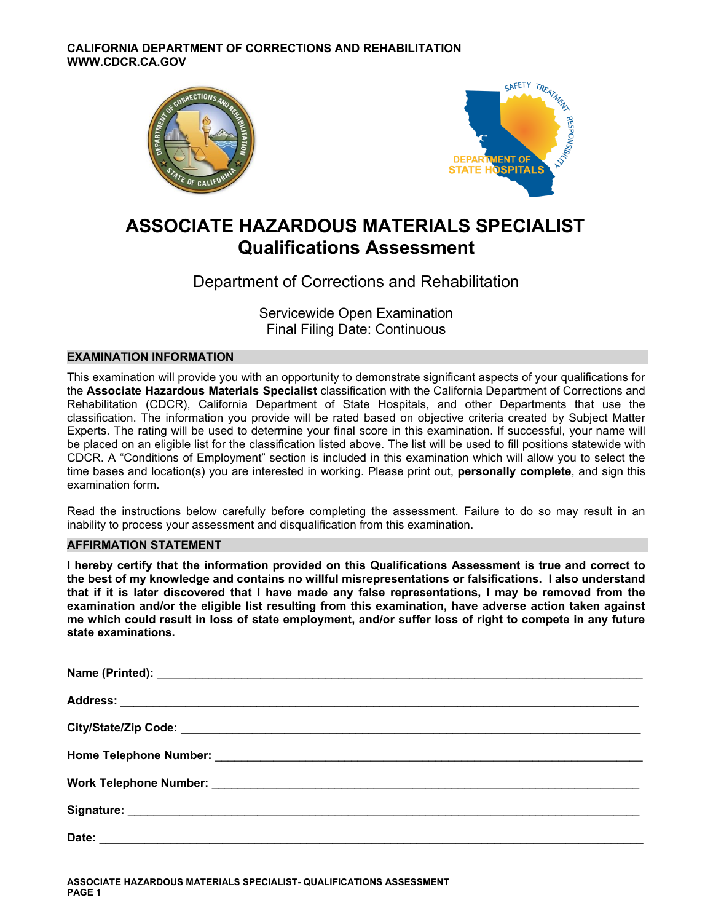



# **ASSOCIATE HAZARDOUS MATERIALS SPECIALIST Qualifications Assessment**

# Department of Corrections and Rehabilitation

Servicewide Open Examination Final Filing Date: Continuous

# **EXAMINATION INFORMATION**

This examination will provide you with an opportunity to demonstrate significant aspects of your qualifications for the **Associate Hazardous Materials Specialist** classification with the California Department of Corrections and Rehabilitation (CDCR), California Department of State Hospitals, and other Departments that use the classification. The information you provide will be rated based on objective criteria created by Subject Matter Experts. The rating will be used to determine your final score in this examination. If successful, your name will be placed on an eligible list for the classification listed above. The list will be used to fill positions statewide with CDCR. A "Conditions of Employment" section is included in this examination which will allow you to select the time bases and location(s) you are interested in working. Please print out, **personally complete**, and sign this examination form.

Read the instructions below carefully before completing the assessment. Failure to do so may result in an inability to process your assessment and disqualification from this examination.

# **AFFIRMATION STATEMENT**

**I hereby certify that the information provided on this Qualifications Assessment is true and correct to the best of my knowledge and contains no willful misrepresentations or falsifications. I also understand that if it is later discovered that I have made any false representations, I may be removed from the examination and/or the eligible list resulting from this examination, have adverse action taken against me which could result in loss of state employment, and/or suffer loss of right to compete in any future state examinations.**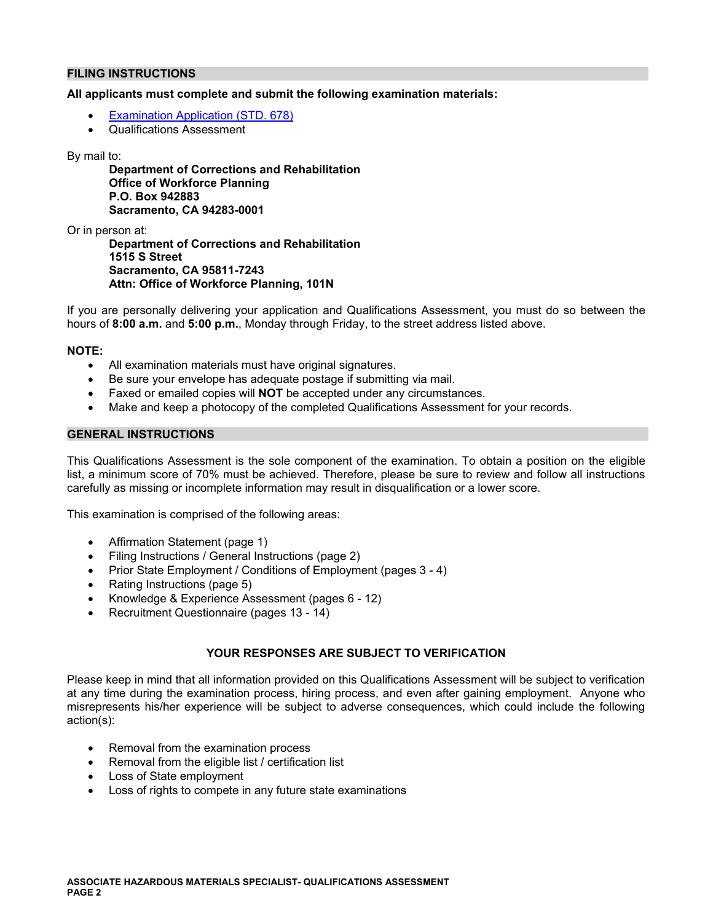# **FILING INSTRUCTIONS**

#### **All applicants must complete and submit the following examination materials:**

- [Examination Application \(STD. 678\)](https://jobs.ca.gov/pdf/STD678.pdf)
- Qualifications Assessment

#### By mail to:

**Department of Corrections and Rehabilitation Office of Workforce Planning P.O. Box 942883 Sacramento, CA 94283-0001** 

Or in person at:

**Department of Corrections and Rehabilitation 1515 S Street Sacramento, CA 95811-7243 Attn: Office of Workforce Planning, 101N** 

If you are personally delivering your application and Qualifications Assessment, you must do so between the hours of **8:00 a.m.** and **5:00 p.m.**, Monday through Friday, to the street address listed above.

### **NOTE:**

- All examination materials must have original signatures.
- Be sure your envelope has adequate postage if submitting via mail.
- Faxed or emailed copies will **NOT** be accepted under any circumstances.
- Make and keep a photocopy of the completed Qualifications Assessment for your records.

#### **GENERAL INSTRUCTIONS**

This Qualifications Assessment is the sole component of the examination. To obtain a position on the eligible list, a minimum score of 70% must be achieved. Therefore, please be sure to review and follow all instructions carefully as missing or incomplete information may result in disqualification or a lower score.

This examination is comprised of the following areas:

- Affirmation Statement (page 1)
- Filing Instructions / General Instructions (page 2)
- Prior State Employment / Conditions of Employment (pages 3 4)
- Rating Instructions (page 5)
- Knowledge & Experience Assessment (pages 6 12)
- Recruitment Questionnaire (pages 13 14)

# **YOUR RESPONSES ARE SUBJECT TO VERIFICATION**

Please keep in mind that all information provided on this Qualifications Assessment will be subject to verification at any time during the examination process, hiring process, and even after gaining employment. Anyone who misrepresents his/her experience will be subject to adverse consequences, which could include the following action(s):

- Removal from the examination process
- Removal from the eligible list / certification list
- Loss of State employment
- Loss of rights to compete in any future state examinations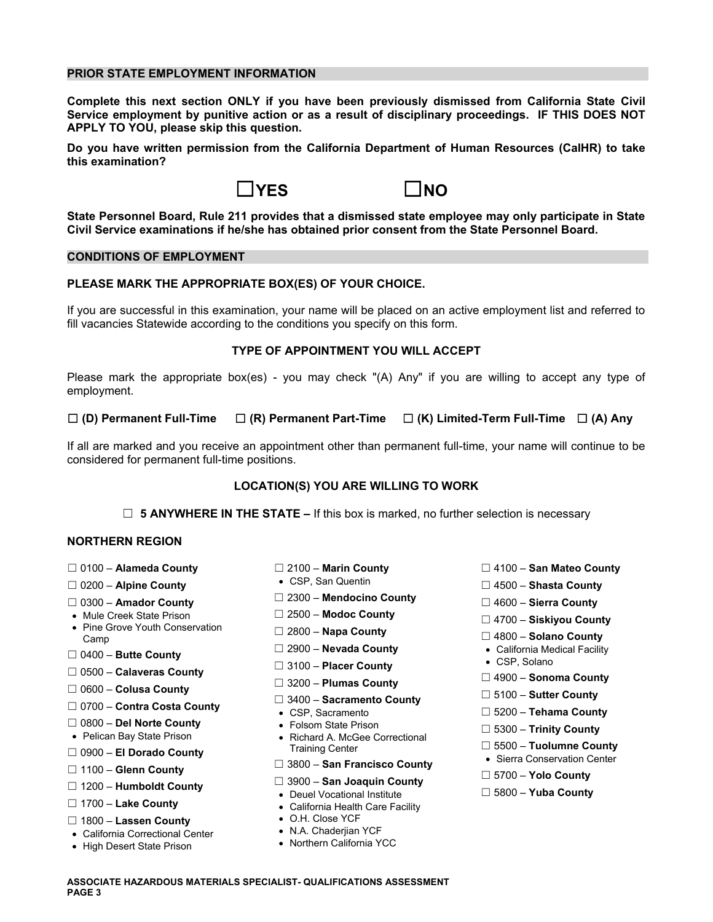## **PRIOR STATE EMPLOYMENT INFORMATION**

**Complete this next section ONLY if you have been previously dismissed from California State Civil Service employment by punitive action or as a result of disciplinary proceedings. IF THIS DOES NOT APPLY TO YOU, please skip this question.** 

**Do you have written permission from the California Department of Human Resources (CalHR) to take this examination?** 



**State Personnel Board, Rule 211 provides that a dismissed state employee may only participate in State Civil Service examinations if he/she has obtained prior consent from the State Personnel Board.** 

## **CONDITIONS OF EMPLOYMENT**

# **PLEASE MARK THE APPROPRIATE BOX(ES) OF YOUR CHOICE.**

If you are successful in this examination, your name will be placed on an active employment list and referred to fill vacancies Statewide according to the conditions you specify on this form.

# **TYPE OF APPOINTMENT YOU WILL ACCEPT**

Please mark the appropriate box(es) - you may check "(A) Any" if you are willing to accept any type of employment.

# ☐ **(D) Permanent Full-Time** ☐ **(R) Permanent Part-Time** ☐ **(K) Limited-Term Full-Time** ☐ **(A) Any**

If all are marked and you receive an appointment other than permanent full-time, your name will continue to be considered for permanent full-time positions.

# **LOCATION(S) YOU ARE WILLING TO WORK**

☐ **5 ANYWHERE IN THE STATE –** If this box is marked, no further selection is necessary

# **NORTHERN REGION**

- 
- 
- ☐ **Ama** ☐ 2300 **Mendocino County** 0300 **dor County** ☐ 4600 **Sierra County**
- 
- Mule Creek State Prison ☐ 2500 **Modoc County** ☐ 4700 **Siskiyou County**  Pine Grove Youth Conservation ☐ 2800 **Napa County** Camp ☐ 4800 **Solano County**
- ☐ 2900 **Nevada County**  California Medical Facility ☐ 0400 **Butte County**
- ☐ 0500 **Calaveras County**
- ☐ ☐ 4900 **Sonoma County** 3200 **Plumas County** ☐ 0600 **Colusa County**
- ☐ 0700 **Contra Costa County**  CSP, Sacramento ☐ 5200 **Tehama County**
- 
- 
- 
- 
- 
- □ 1700 Lake County **and Sounty** California Health Care Facility
- □ 1800 **Lassen County •** O.H. Close YCF<br>• California Correctional Center N.A. Chaderjian YCF
- California Correctional Center N.A. Chaderjian YCF
- High Desert State Prison
- 
- 
- 
- 
- 
- 
- □ 3100 **Placer County**
- 
- ☐ 3400 **Sacramento County** ☐ 5100 **Sutter County**
- 
- 
- ☐ 0800 **Del Norte County**  Folsom State Prison ☐ 5300 **Trinity County**  Pelican Bay State Prison Richard A. McGee Correctional Training Center ☐ 5500 – **Tuolumne County** ☐ 0900 – **El Dorado County**  Sierra Conservation Center

# ☐ 3800 – **San Francisco County** 1100 – **Glenn County** ☐

- ☐ 3900 **San Joaquin County** 1200 **Humboldt County** ☐
	- Deuel Vocational Institute ☐ 5800 **Yuba County**
	-
	-
	-
	-
- ☐ 0100 **Alameda County** ☐ 2100 **Marin County** ☐ 4100 **San Mateo County**
- □ 0200 Alpine County CSP, San Quentin <br>
□ 4500 **Shasta County** 
	-
	-
	-
	-
	-
	-
	-
	-
	-
	-
	-
	- ☐ 5700 **Yolo County**
	-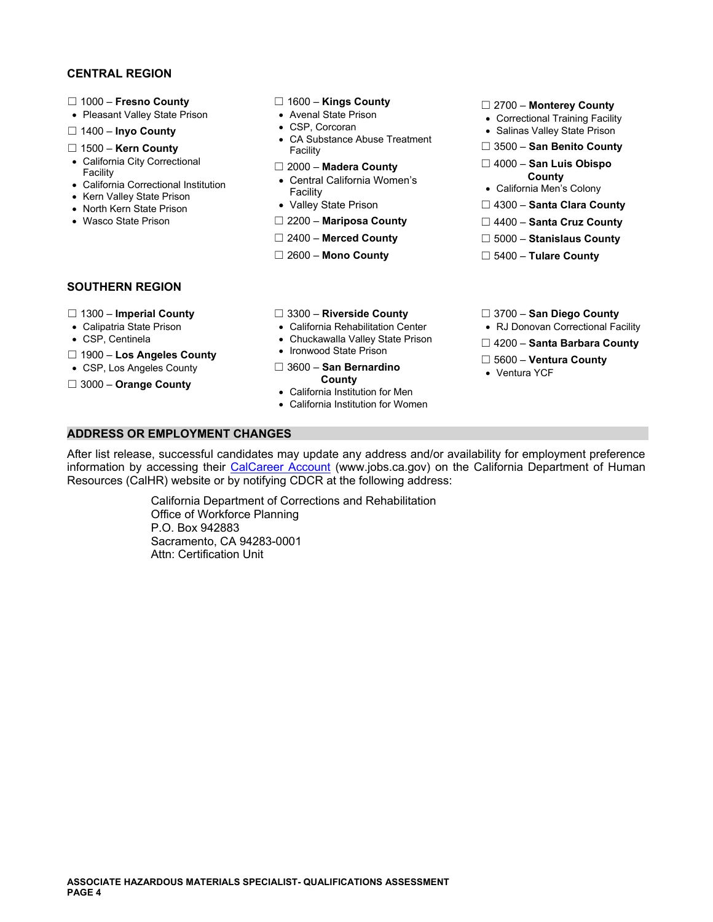# **CENTRAL REGION**

- 
- 
- 
- 
- 
- 
- 
- 
- 

- 
- 
- □ 1400 **Inyo County** <br>CA Substance Abuse Treatment **and County CA Substance Abuse Treatment Can Benito County** <br>Facility **COUNTY** Facility **COUNT** <p>■ 1500 – <b>Ken County</b></p>\n<p>■ 3500 – <b>San Benito County</b></p>\n<p>■ 3500 – <b>San Benito County</b></p>\n<p>■ 3500 – <b>San Benito County</b></p>\n<p>■ 3500 – <b>San Benito County</b></p>
	-
- Galifornia Correctional Institution North Cacility<br>• Kern Valley State Prison North Kern State Prison North Kern State Prison North Kern State Prison Nor<br>• North Kern State Prison North Kern State Prison N
	-
	-
	-
	-

- ☐ 1000 **Fresno County** ☐ 1600 **Kings County** ☐ 2700 **Monterey County**  Pleasant Valley State Prison Avenal State Prison Correctional Training Facility
	-
	-
- California City Correctional ☐ 2000 **Madera County** ☐ 4000 **San Luis Obispo** Facility Central Ca ifor a Wome s **County**  l ni n' California Correctional Institution
	-
	-
- Wasco State Prison **DEMILY COLL THE COUNTY ARE COUNTY** DEMILY ASSAUTED MATIPOSA County DEMILY AND DEMILY AND DEMILY AND DEMILY AND DEMILY AND DEMILY AND DEMILY AND DEMILY ARE COUNTY
	- ☐ 2400 **Merced County** ☐ 5000 **Stanislaus County**
	- ☐ 2600 **Mono County** ☐ 5400 **Tulare County**

### **SOUTHERN REGION**

- 
- 
- 
- □ 1900 Los Angeles County
- 
- □ 3000 Orange County **County County**
- 
- 
- 
- 
- ☐ 5600 **Ventura County**  CSP, Los Angeles County ☐ 3600 **San Bernardino** 
	- California Institution for Men
	- California Institution for Women

### **ADDRESS OR EMPLOYMENT CHANGES**

After list release, successful candidates may update any address and/or availability for employment preference information by accessing their [CalCareer Account](https://www.jobs.ca.gov/) [\(www.jobs.ca.gov](www.jobs.ca.gov)) on the California Department of Human Resources (CalHR) website or by notifying CDCR at the following address:

> California Department of Corrections and Rehabilitation Office of Workforce Planning P.O. Box 942883 Sacramento, CA 94283-0001 Attn: Certification Unit

- ☐ 1300 **Imperial County** ☐ 3300 **Riverside County** ☐ 3700 **San Diego County**
- Calipatria State Prison California Rehabilitation Center RJ Donovan Correctional Facility
	- Chuckawalla Valley State Prison <u>□</u> 4200 **Santa Barbara County**<br>■ Ironwood State Prison
		-
		-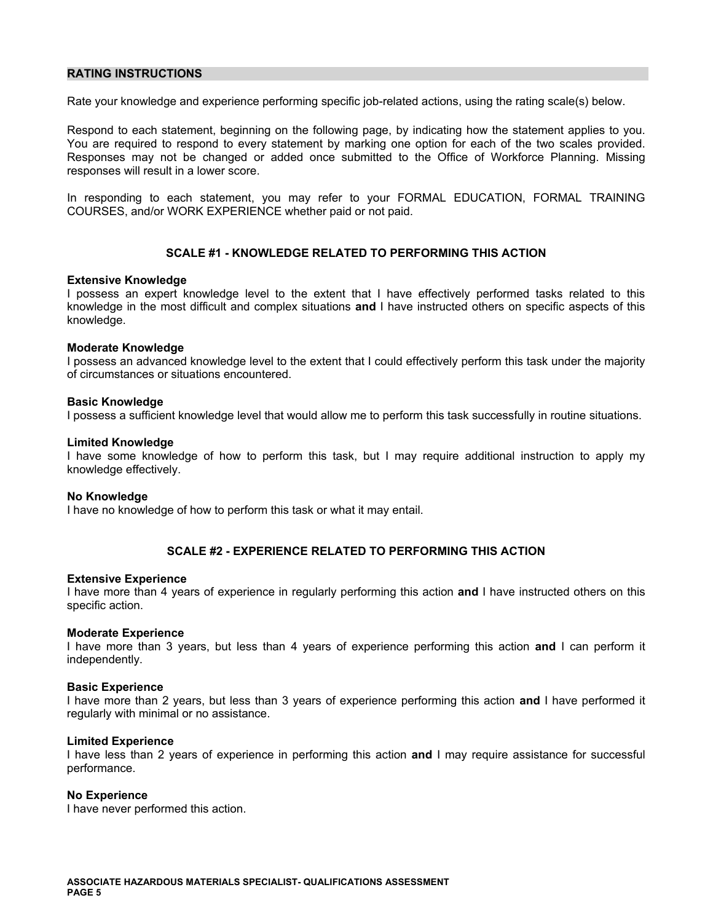## **RATING INSTRUCTIONS**

Rate your knowledge and experience performing specific job-related actions, using the rating scale(s) below.

Respond to each statement, beginning on the following page, by indicating how the statement applies to you. You are required to respond to every statement by marking one option for each of the two scales provided. Responses may not be changed or added once submitted to the Office of Workforce Planning. Missing responses will result in a lower score.

In responding to each statement, you may refer to your FORMAL EDUCATION, FORMAL TRAINING COURSES, and/or WORK EXPERIENCE whether paid or not paid.

# **SCALE #1 - KNOWLEDGE RELATED TO PERFORMING THIS ACTION**

#### **Extensive Knowledge**

I possess an expert knowledge level to the extent that I have effectively performed tasks related to this knowledge in the most difficult and complex situations **and** I have instructed others on specific aspects of this knowledge.

#### **Moderate Knowledge**

I possess an advanced knowledge level to the extent that I could effectively perform this task under the majority of circumstances or situations encountered.

#### **Basic Knowledge**

I possess a sufficient knowledge level that would allow me to perform this task successfully in routine situations.

#### **Limited Knowledge**

I have some knowledge of how to perform this task, but I may require additional instruction to apply my knowledge effectively.

#### **No Knowledge**

I have no knowledge of how to perform this task or what it may entail.

# **SCALE #2 - EXPERIENCE RELATED TO PERFORMING THIS ACTION**

#### **Extensive Experience**

I have more than 4 years of experience in regularly performing this action **and** I have instructed others on this specific action.

#### **Moderate Experience**

I have more than 3 years, but less than 4 years of experience performing this action **and** I can perform it independently.

#### **Basic Experience**

I have more than 2 years, but less than 3 years of experience performing this action **and** I have performed it regularly with minimal or no assistance.

#### **Limited Experience**

I have less than 2 years of experience in performing this action **and** I may require assistance for successful performance.

#### **No Experience**

I have never performed this action.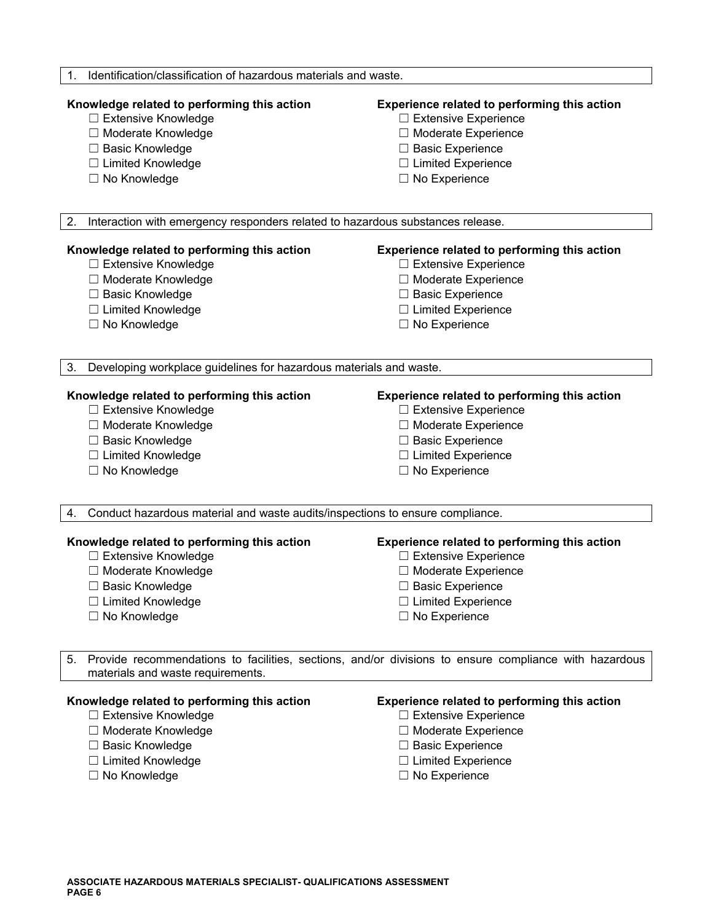| Identification/classification of hazardous materials and waste.<br>1.                |                                                                                                       |  |
|--------------------------------------------------------------------------------------|-------------------------------------------------------------------------------------------------------|--|
| Knowledge related to performing this action                                          | Experience related to performing this action                                                          |  |
| □ Extensive Knowledge                                                                | □ Extensive Experience                                                                                |  |
| □ Moderate Knowledge                                                                 | □ Moderate Experience                                                                                 |  |
| □ Basic Knowledge                                                                    | $\Box$ Basic Experience                                                                               |  |
| □ Limited Knowledge                                                                  | $\Box$ Limited Experience                                                                             |  |
| □ No Knowledge                                                                       | $\Box$ No Experience                                                                                  |  |
| 2.<br>Interaction with emergency responders related to hazardous substances release. |                                                                                                       |  |
| Knowledge related to performing this action                                          | <b>Experience related to performing this action</b>                                                   |  |
| □ Extensive Knowledge                                                                | $\Box$ Extensive Experience                                                                           |  |
| □ Moderate Knowledge                                                                 | □ Moderate Experience                                                                                 |  |
| □ Basic Knowledge                                                                    | □ Basic Experience                                                                                    |  |
| □ Limited Knowledge                                                                  | $\Box$ Limited Experience                                                                             |  |
| □ No Knowledge                                                                       | $\Box$ No Experience                                                                                  |  |
| Developing workplace guidelines for hazardous materials and waste.<br>3.             |                                                                                                       |  |
| Knowledge related to performing this action                                          | <b>Experience related to performing this action</b>                                                   |  |
| □ Extensive Knowledge                                                                | $\Box$ Extensive Experience                                                                           |  |
| □ Moderate Knowledge                                                                 | □ Moderate Experience                                                                                 |  |
| □ Basic Knowledge                                                                    | □ Basic Experience                                                                                    |  |
| $\Box$ Limited Knowledge                                                             | $\Box$ Limited Experience                                                                             |  |
| □ No Knowledge                                                                       | $\Box$ No Experience                                                                                  |  |
| Conduct hazardous material and waste audits/inspections to ensure compliance.<br>4.  |                                                                                                       |  |
| Knowledge related to performing this action                                          | Experience related to performing this action                                                          |  |
| □ Extensive Knowledge                                                                | $\Box$ Extensive Experience                                                                           |  |
| □ Moderate Knowledge                                                                 | □ Moderate Experience                                                                                 |  |
| $\Box$ Basic Knowledge                                                               | $\Box$ Basic Experience                                                                               |  |
| $\Box$ Limited Knowledge                                                             | $\Box$ Limited Experience                                                                             |  |
| □ No Knowledge                                                                       | $\Box$ No Experience                                                                                  |  |
| 5.<br>materials and waste requirements.                                              | Provide recommendations to facilities, sections, and/or divisions to ensure compliance with hazardous |  |
| Knowledge related to performing this action                                          | Experience related to performing this action                                                          |  |
| □ Extensive Knowledge                                                                | $\Box$ Extensive Experience                                                                           |  |
| □ Moderate Knowledge                                                                 | □ Moderate Experience                                                                                 |  |

- 
- ☐ Basic Knowledge ☐ Basic Experience
- 
- 
- 
- □ Moderate Experience
- 
- ☐ Limited Knowledge ☐ Limited Experience
- ☐ No Knowledge ☐ No Experience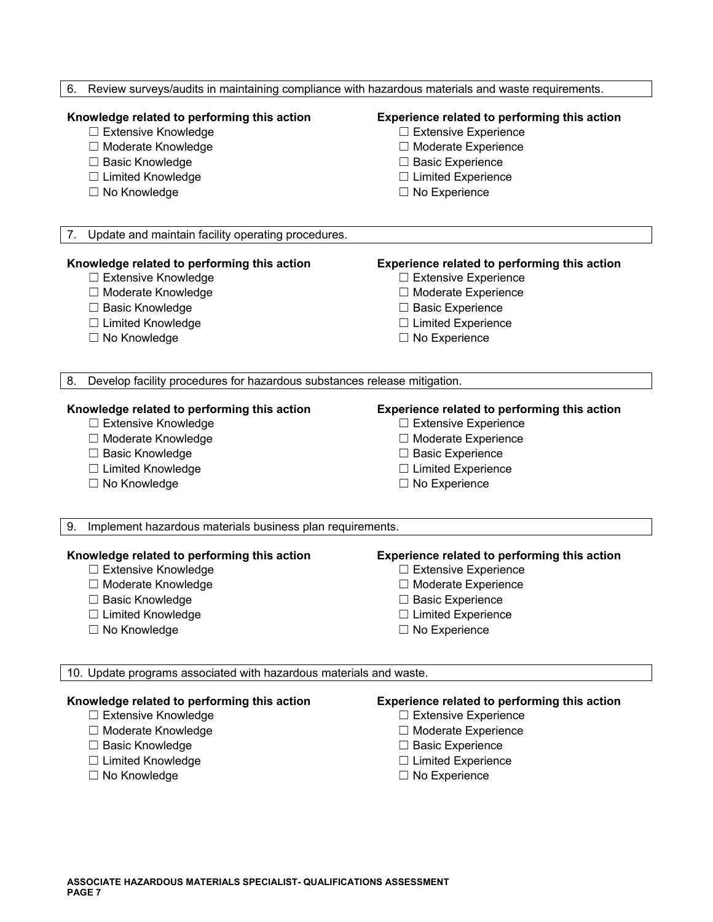| Review surveys/audits in maintaining compliance with hazardous materials and waste requirements.<br>6. |                                              |  |
|--------------------------------------------------------------------------------------------------------|----------------------------------------------|--|
| Knowledge related to performing this action                                                            | Experience related to performing this action |  |
| □ Extensive Knowledge                                                                                  | □ Extensive Experience                       |  |
| □ Moderate Knowledge                                                                                   | □ Moderate Experience                        |  |
| □ Basic Knowledge                                                                                      | □ Basic Experience                           |  |
| □ Limited Knowledge                                                                                    | $\Box$ Limited Experience                    |  |
| □ No Knowledge                                                                                         | $\Box$ No Experience                         |  |
| 7.<br>Update and maintain facility operating procedures.                                               |                                              |  |
| Knowledge related to performing this action                                                            | Experience related to performing this action |  |
| □ Extensive Knowledge                                                                                  | $\Box$ Extensive Experience                  |  |
| □ Moderate Knowledge                                                                                   | □ Moderate Experience                        |  |
| □ Basic Knowledge                                                                                      | $\Box$ Basic Experience                      |  |
| □ Limited Knowledge                                                                                    | $\Box$ Limited Experience                    |  |
| $\Box$ No Knowledge                                                                                    | $\Box$ No Experience                         |  |
| Develop facility procedures for hazardous substances release mitigation.<br>8.                         |                                              |  |
| Knowledge related to performing this action                                                            | Experience related to performing this action |  |
| □ Extensive Knowledge                                                                                  | □ Extensive Experience                       |  |
| □ Moderate Knowledge                                                                                   | □ Moderate Experience                        |  |
| □ Basic Knowledge                                                                                      | $\Box$ Basic Experience                      |  |
| □ Limited Knowledge                                                                                    | $\Box$ Limited Experience                    |  |
| □ No Knowledge                                                                                         | $\Box$ No Experience                         |  |
| Implement hazardous materials business plan requirements.<br>9.                                        |                                              |  |
| Knowledge related to performing this action                                                            | Experience related to performing this action |  |
| □ Extensive Knowledge                                                                                  | □ Extensive Experience                       |  |
| □ Moderate Knowledge                                                                                   | □ Moderate Experience                        |  |
| $\Box$ Basic Knowledge                                                                                 | $\Box$ Basic Experience                      |  |
| □ Limited Knowledge                                                                                    | $\Box$ Limited Experience                    |  |
| $\Box$ No Knowledge                                                                                    | $\Box$ No Experience                         |  |
| 10. Update programs associated with hazardous materials and waste.                                     |                                              |  |
| Knowledge related to performing this action                                                            | Experience related to performing this action |  |
| □ Extensive Knowledge                                                                                  | □ Extensive Experience                       |  |
| □ Moderate Knowledge                                                                                   | □ Moderate Experience                        |  |
| □ Basic Knowledge                                                                                      | $\Box$ Basic Experience                      |  |
| □ Limited Knowledge                                                                                    | $\Box$ Limited Experience                    |  |
| □ No Knowledge                                                                                         | $\Box$ No Experience                         |  |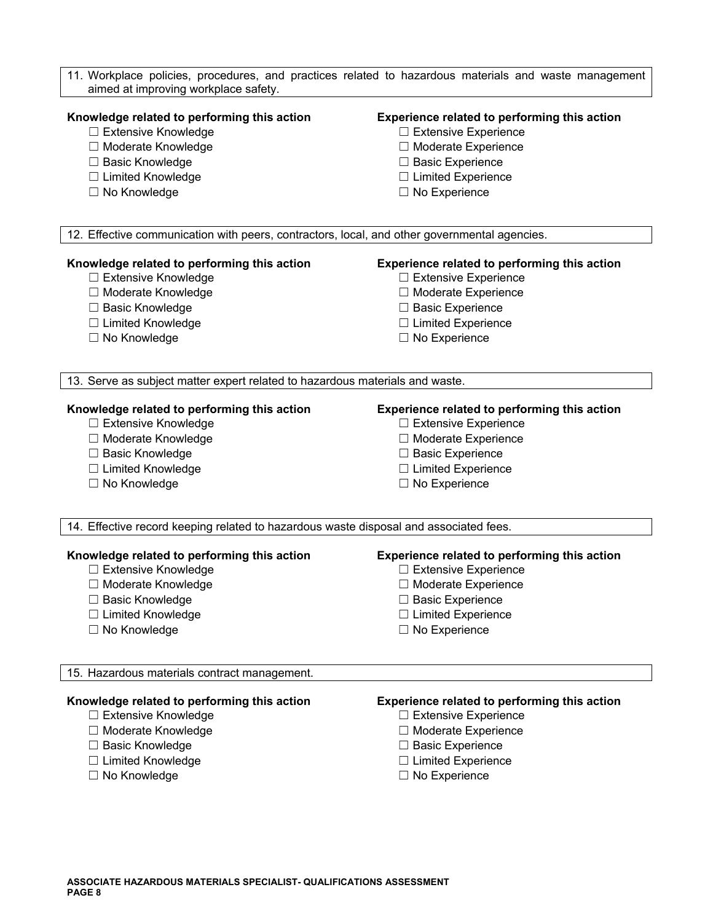| aimed at improving workplace safety.                                                         | 11. Workplace policies, procedures, and practices related to hazardous materials and waste management |
|----------------------------------------------------------------------------------------------|-------------------------------------------------------------------------------------------------------|
| Knowledge related to performing this action<br>□ Extensive Knowledge                         | Experience related to performing this action<br>$\Box$ Extensive Experience                           |
| □ Moderate Knowledge                                                                         | □ Moderate Experience                                                                                 |
| □ Basic Knowledge                                                                            | $\Box$ Basic Experience                                                                               |
| □ Limited Knowledge                                                                          | $\Box$ Limited Experience                                                                             |
| □ No Knowledge                                                                               | $\Box$ No Experience                                                                                  |
| 12. Effective communication with peers, contractors, local, and other governmental agencies. |                                                                                                       |
|                                                                                              |                                                                                                       |
| Knowledge related to performing this action                                                  | Experience related to performing this action                                                          |
| □ Extensive Knowledge                                                                        | □ Extensive Experience                                                                                |
| □ Moderate Knowledge                                                                         | □ Moderate Experience                                                                                 |
| □ Basic Knowledge                                                                            | □ Basic Experience                                                                                    |
| □ Limited Knowledge                                                                          | $\Box$ Limited Experience                                                                             |
| □ No Knowledge                                                                               | $\Box$ No Experience                                                                                  |
| 13. Serve as subject matter expert related to hazardous materials and waste.                 |                                                                                                       |
| Knowledge related to performing this action                                                  | Experience related to performing this action                                                          |
| □ Extensive Knowledge                                                                        | $\Box$ Extensive Experience                                                                           |
| □ Moderate Knowledge                                                                         | □ Moderate Experience                                                                                 |
| □ Basic Knowledge                                                                            | □ Basic Experience                                                                                    |
| □ Limited Knowledge                                                                          | $\Box$ Limited Experience                                                                             |
| $\Box$ No Knowledge                                                                          | $\Box$ No Experience                                                                                  |
| 14. Effective record keeping related to hazardous waste disposal and associated fees.        |                                                                                                       |
| Knowledge related to performing this action                                                  | Experience related to performing this action                                                          |
| □ Extensive Knowledge                                                                        | □ Extensive Experience                                                                                |
| $\Box$ Moderate Knowledge                                                                    | □ Moderate Experience                                                                                 |
| □ Basic Knowledge                                                                            | $\Box$ Basic Experience                                                                               |
| □ Limited Knowledge                                                                          | $\Box$ Limited Experience                                                                             |
| $\Box$ No Knowledge                                                                          | $\Box$ No Experience                                                                                  |
| 15. Hazardous materials contract management.                                                 |                                                                                                       |
| Knowledge related to performing this action                                                  | Experience related to performing this action                                                          |
| □ Extensive Knowledge                                                                        | $\Box$ Extensive Experience                                                                           |
| □ Moderate Knowledge                                                                         | $\Box$ Moderate Experience                                                                            |
| □ Basic Knowledge                                                                            | $\Box$ Basic Experience                                                                               |
| □ Limited Knowledge                                                                          | $\Box$ Limited Experience                                                                             |
| $\Box$ No Knowledge                                                                          | $\Box$ No Experience                                                                                  |
|                                                                                              |                                                                                                       |
|                                                                                              |                                                                                                       |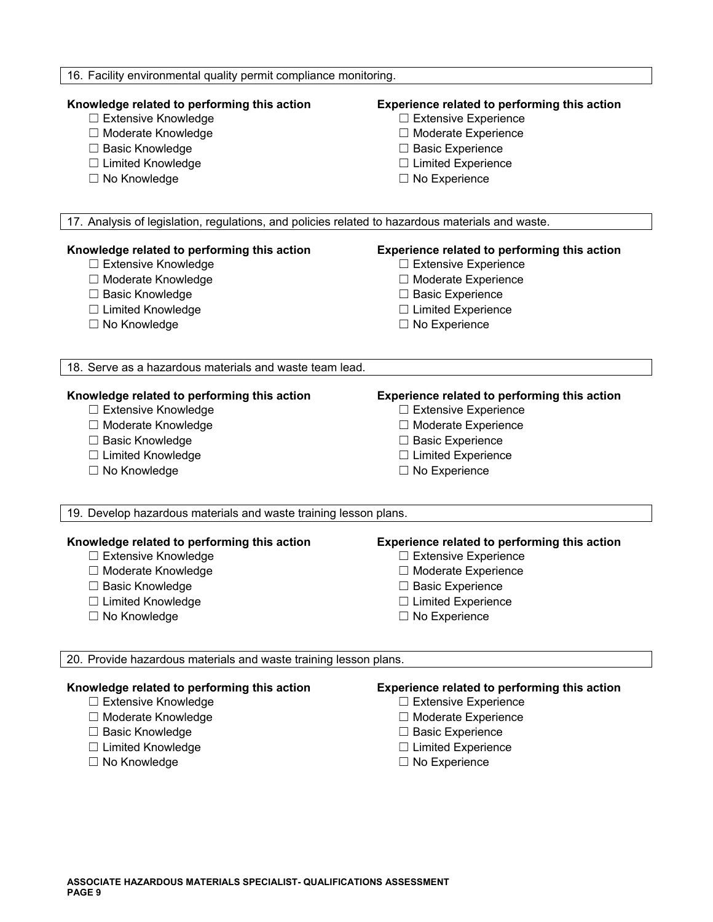| 16. Facility environmental quality permit compliance monitoring.                                                                         |                                                                                                                                                         |
|------------------------------------------------------------------------------------------------------------------------------------------|---------------------------------------------------------------------------------------------------------------------------------------------------------|
| Knowledge related to performing this action<br>□ Extensive Knowledge<br>□ Moderate Knowledge<br>□ Basic Knowledge<br>□ Limited Knowledge | Experience related to performing this action<br>$\Box$ Extensive Experience<br>□ Moderate Experience<br>□ Basic Experience<br>$\Box$ Limited Experience |
| □ No Knowledge                                                                                                                           | $\Box$ No Experience                                                                                                                                    |
| 17. Analysis of legislation, regulations, and policies related to hazardous materials and waste.                                         |                                                                                                                                                         |
|                                                                                                                                          |                                                                                                                                                         |
| Knowledge related to performing this action                                                                                              | Experience related to performing this action                                                                                                            |
| □ Extensive Knowledge                                                                                                                    | □ Extensive Experience                                                                                                                                  |
| □ Moderate Knowledge                                                                                                                     | □ Moderate Experience                                                                                                                                   |
| □ Basic Knowledge                                                                                                                        | □ Basic Experience                                                                                                                                      |
| □ Limited Knowledge                                                                                                                      | $\Box$ Limited Experience                                                                                                                               |
| □ No Knowledge                                                                                                                           | $\Box$ No Experience                                                                                                                                    |
| 18. Serve as a hazardous materials and waste team lead.                                                                                  |                                                                                                                                                         |
|                                                                                                                                          |                                                                                                                                                         |
| Knowledge related to performing this action                                                                                              | Experience related to performing this action                                                                                                            |
| □ Extensive Knowledge                                                                                                                    | □ Extensive Experience                                                                                                                                  |
| □ Moderate Knowledge                                                                                                                     | □ Moderate Experience                                                                                                                                   |
| □ Basic Knowledge                                                                                                                        | □ Basic Experience                                                                                                                                      |
| □ Limited Knowledge                                                                                                                      | $\Box$ Limited Experience                                                                                                                               |
| $\Box$ No Knowledge                                                                                                                      | $\Box$ No Experience                                                                                                                                    |
| 19. Develop hazardous materials and waste training lesson plans.                                                                         |                                                                                                                                                         |
| Knowledge related to performing this action                                                                                              | Experience related to performing this action                                                                                                            |
| □ Extensive Knowledge                                                                                                                    | $\Box$ Extensive Experience                                                                                                                             |
| □ Moderate Knowledge<br>$\Box$ Basic Knowledge                                                                                           | □ Moderate Experience<br>□ Basic Experience                                                                                                             |
| $\Box$ Limited Knowledge                                                                                                                 | $\Box$ Limited Experience                                                                                                                               |
| $\Box$ No Knowledge                                                                                                                      | $\Box$ No Experience                                                                                                                                    |
|                                                                                                                                          |                                                                                                                                                         |
| 20. Provide hazardous materials and waste training lesson plans.                                                                         |                                                                                                                                                         |
| Knowledge related to performing this action                                                                                              | Experience related to performing this action                                                                                                            |
| □ Extensive Knowledge                                                                                                                    | $\Box$ Extensive Experience                                                                                                                             |
| □ Moderate Knowledge                                                                                                                     | □ Moderate Experience                                                                                                                                   |
| □ Basic Knowledge                                                                                                                        | □ Basic Experience                                                                                                                                      |
| □ Limited Knowledge                                                                                                                      | $\Box$ Limited Experience                                                                                                                               |
| □ No Knowledge                                                                                                                           | $\Box$ No Experience                                                                                                                                    |
|                                                                                                                                          |                                                                                                                                                         |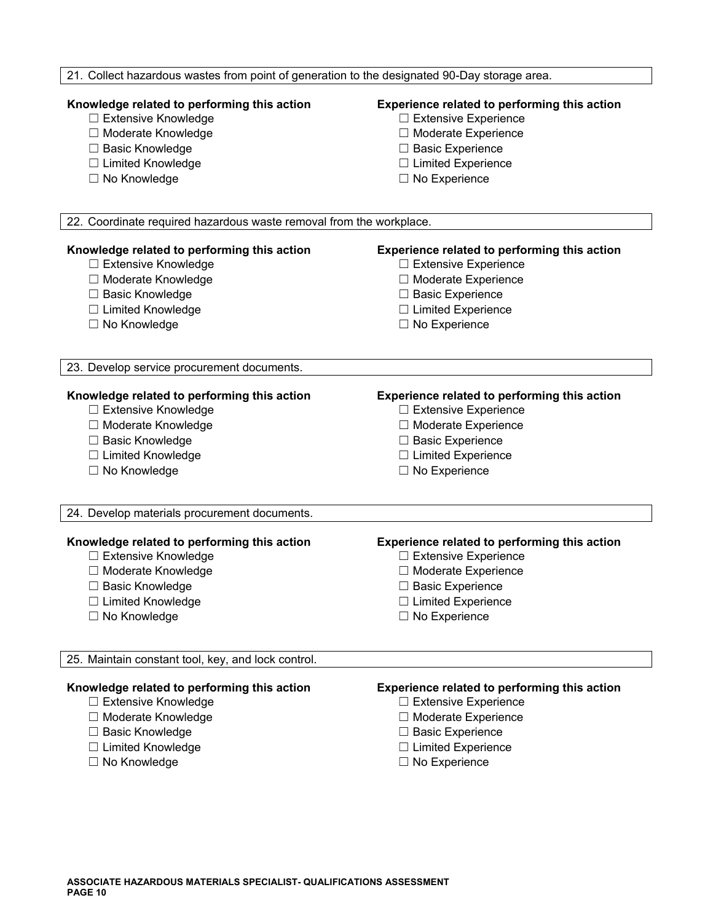| 21. Collect hazardous wastes from point of generation to the designated 90-Day storage area. |                                                                                    |  |
|----------------------------------------------------------------------------------------------|------------------------------------------------------------------------------------|--|
|                                                                                              |                                                                                    |  |
| Knowledge related to performing this action                                                  | Experience related to performing this action                                       |  |
| □ Extensive Knowledge                                                                        | $\Box$ Extensive Experience                                                        |  |
| □ Moderate Knowledge                                                                         | □ Moderate Experience                                                              |  |
| □ Basic Knowledge                                                                            | □ Basic Experience                                                                 |  |
| □ Limited Knowledge                                                                          | $\Box$ Limited Experience                                                          |  |
| □ No Knowledge                                                                               | $\Box$ No Experience                                                               |  |
| 22. Coordinate required hazardous waste removal from the workplace.                          |                                                                                    |  |
|                                                                                              |                                                                                    |  |
| Knowledge related to performing this action                                                  | <b>Experience related to performing this action</b>                                |  |
| □ Extensive Knowledge                                                                        | $\Box$ Extensive Experience                                                        |  |
| □ Moderate Knowledge                                                                         | □ Moderate Experience                                                              |  |
| □ Basic Knowledge                                                                            | □ Basic Experience                                                                 |  |
| □ Limited Knowledge                                                                          | $\Box$ Limited Experience                                                          |  |
| $\Box$ No Knowledge                                                                          | $\Box$ No Experience                                                               |  |
| 23. Develop service procurement documents.                                                   |                                                                                    |  |
|                                                                                              |                                                                                    |  |
| Knowledge related to performing this action                                                  | Experience related to performing this action                                       |  |
| □ Extensive Knowledge                                                                        | $\Box$ Extensive Experience                                                        |  |
| □ Moderate Knowledge                                                                         | □ Moderate Experience                                                              |  |
| □ Basic Knowledge                                                                            | □ Basic Experience                                                                 |  |
| □ Limited Knowledge                                                                          | $\Box$ Limited Experience                                                          |  |
| □ No Knowledge                                                                               | $\Box$ No Experience                                                               |  |
| 24. Develop materials procurement documents.                                                 |                                                                                    |  |
|                                                                                              |                                                                                    |  |
| Knowledge related to performing this action<br>□ Extensive Knowledge                         | <b>Experience related to performing this action</b><br>$\Box$ Extensive Experience |  |
| □ Moderate Knowledge                                                                         | □ Moderate Experience                                                              |  |
| □ Basic Knowledge                                                                            | $\Box$ Basic Experience                                                            |  |
| □ Limited Knowledge                                                                          | $\Box$ Limited Experience                                                          |  |
| □ No Knowledge                                                                               | $\Box$ No Experience                                                               |  |
|                                                                                              |                                                                                    |  |
| 25. Maintain constant tool, key, and lock control.                                           |                                                                                    |  |
| Knowledge related to performing this action                                                  |                                                                                    |  |
| □ Extensive Knowledge                                                                        | <b>Experience related to performing this action</b><br>$\Box$ Extensive Experience |  |
| □ Moderate Knowledge                                                                         | □ Moderate Experience                                                              |  |
| □ Basic Knowledge                                                                            | $\Box$ Basic Experience                                                            |  |
| □ Limited Knowledge                                                                          | $\Box$ Limited Experience                                                          |  |
| □ No Knowledge                                                                               | $\Box$ No Experience                                                               |  |
|                                                                                              |                                                                                    |  |
|                                                                                              |                                                                                    |  |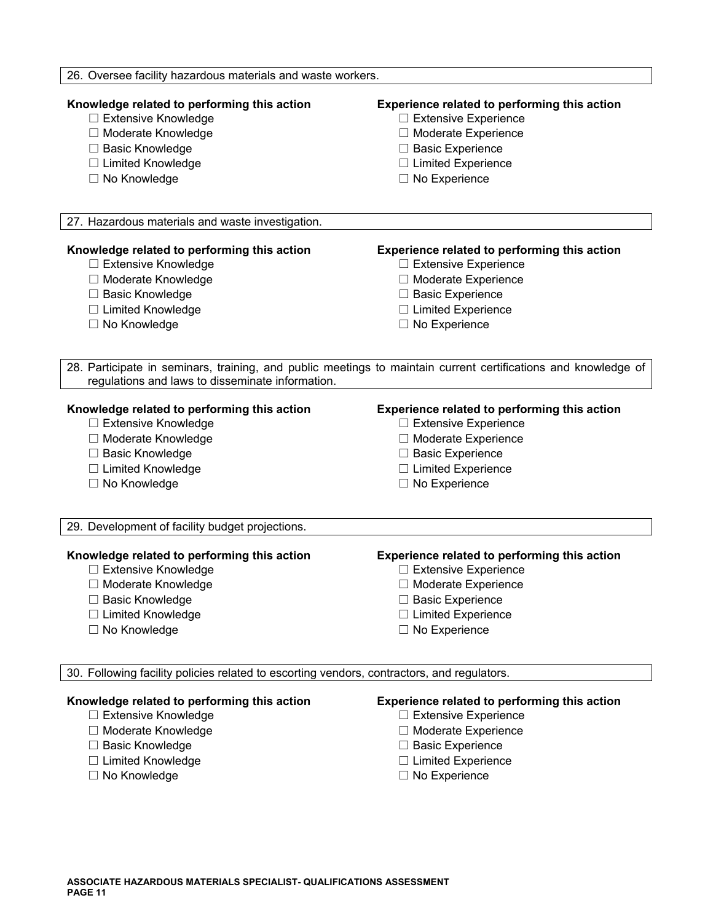| 26. Oversee facility hazardous materials and waste workers.                                                                                                |                                                                                                                                                                                 |
|------------------------------------------------------------------------------------------------------------------------------------------------------------|---------------------------------------------------------------------------------------------------------------------------------------------------------------------------------|
| Knowledge related to performing this action<br>□ Extensive Knowledge<br>□ Moderate Knowledge<br>□ Basic Knowledge<br>□ Limited Knowledge<br>□ No Knowledge | Experience related to performing this action<br>$\Box$ Extensive Experience<br>□ Moderate Experience<br>□ Basic Experience<br>$\Box$ Limited Experience<br>$\Box$ No Experience |
| 27. Hazardous materials and waste investigation.                                                                                                           |                                                                                                                                                                                 |
| Knowledge related to performing this action                                                                                                                | Experience related to performing this action                                                                                                                                    |
| □ Extensive Knowledge                                                                                                                                      | $\Box$ Extensive Experience                                                                                                                                                     |
| □ Moderate Knowledge                                                                                                                                       | □ Moderate Experience                                                                                                                                                           |
| □ Basic Knowledge                                                                                                                                          | □ Basic Experience                                                                                                                                                              |
| □ Limited Knowledge                                                                                                                                        | $\Box$ Limited Experience                                                                                                                                                       |
| □ No Knowledge                                                                                                                                             | $\Box$ No Experience                                                                                                                                                            |
| regulations and laws to disseminate information.                                                                                                           | 28. Participate in seminars, training, and public meetings to maintain current certifications and knowledge of                                                                  |
| Knowledge related to performing this action                                                                                                                | Experience related to performing this action                                                                                                                                    |
| □ Extensive Knowledge                                                                                                                                      | $\Box$ Extensive Experience                                                                                                                                                     |
| □ Moderate Knowledge                                                                                                                                       | □ Moderate Experience                                                                                                                                                           |
| □ Basic Knowledge                                                                                                                                          | □ Basic Experience                                                                                                                                                              |
| □ Limited Knowledge                                                                                                                                        | $\Box$ Limited Experience                                                                                                                                                       |
| □ No Knowledge                                                                                                                                             | $\Box$ No Experience                                                                                                                                                            |
| 29. Development of facility budget projections.                                                                                                            |                                                                                                                                                                                 |
| Knowledge related to performing this action                                                                                                                | Experience related to performing this action                                                                                                                                    |
| □ Extensive Knowledge                                                                                                                                      | □ Extensive Experience                                                                                                                                                          |
| □ Moderate Knowledge                                                                                                                                       | □ Moderate Experience                                                                                                                                                           |
| <b>Basic Knowledge</b>                                                                                                                                     | $\Box$ Basic Experience                                                                                                                                                         |
| □ Limited Knowledge                                                                                                                                        | <b>Limited Experience</b>                                                                                                                                                       |
| □ No Knowledge                                                                                                                                             | $\Box$ No Experience                                                                                                                                                            |
| 30. Following facility policies related to escorting vendors, contractors, and regulators.                                                                 |                                                                                                                                                                                 |
| Knowledge related to performing this action                                                                                                                | Experience related to performing this action                                                                                                                                    |
| □ Extensive Knowledge                                                                                                                                      | $\Box$ Extensive Experience                                                                                                                                                     |
| □ Moderate Knowledge                                                                                                                                       | □ Moderate Experience                                                                                                                                                           |
| □ Basic Knowledge                                                                                                                                          | □ Basic Experience                                                                                                                                                              |
| □ Limited Knowledge                                                                                                                                        | □ Limited Experience                                                                                                                                                            |

☐ No Knowledge ☐ No Experience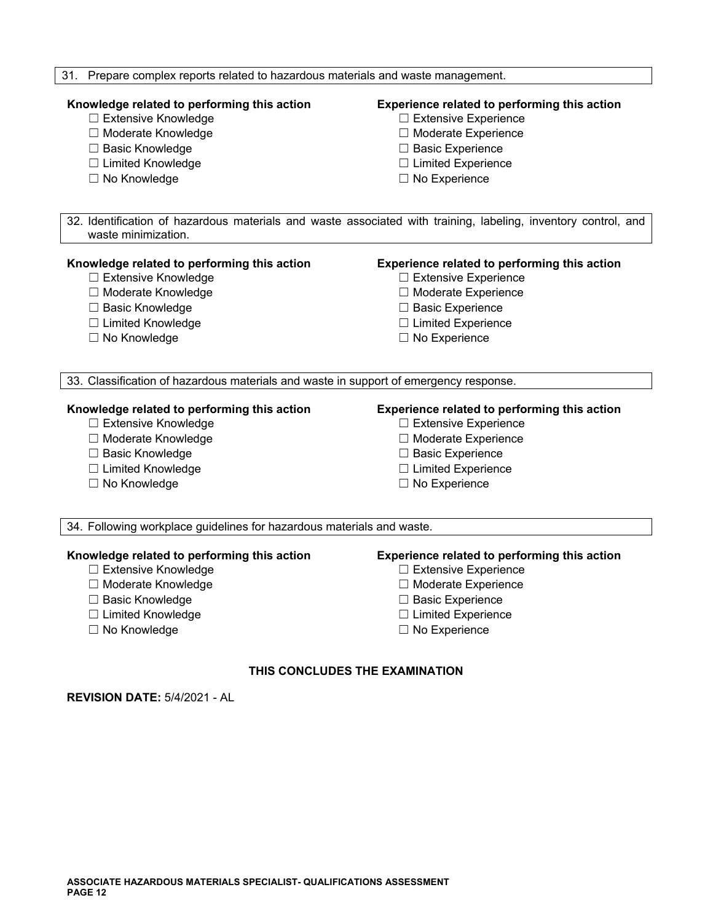### 31. Prepare complex reports related to hazardous materials and waste management.

# **Knowledge related to performing this action Experience related to performing this action**

- ☐ Extensive Knowledge ☐ Extensive Experience
- ☐ Moderate Knowledge ☐ Moderate Experience
- ☐ Basic Knowledge ☐ Basic Experience
- ☐ Limited Knowledge ☐ Limited Experience
- 

- 
- 
- 
- 
- ☐ No Knowledge ☐ No Experience

32. Identification of hazardous materials and waste associated with training, labeling, inventory control, and waste minimization.

#### **Knowledge related to performing this action Experience related to performing this action**

- 
- ☐ Moderate Knowledge ☐ Moderate Experience
- ☐ Basic Knowledge ☐ Basic Experience
- ☐ Limited Knowledge ☐ Limited Experience
- 

- ☐ Extensive Knowledge ☐ Extensive Experience
	-
	-
	-
- ☐ No Knowledge ☐ No Experience

33. Classification of hazardous materials and waste in support of emergency response.

- ☐ Extensive Knowledge ☐ Extensive Experience
- 
- ☐ Basic Knowledge ☐ Basic Experience
- ☐ Limited Knowledge ☐ Limited Experience
- ☐ No Knowledge ☐ No Experience

# **Knowledge related to performing this action Experience related to performing this action**

- 
- ☐ Moderate Knowledge ☐ Moderate Experience
	-
	-
	-

34. Following workplace guidelines for hazardous materials and waste.

#### **Knowledge related to performing this action Experience related to performing this action**

- 
- ☐ Moderate Knowledge ☐ Moderate Experience
- 
- 
- 

- ☐ Extensive Knowledge ☐ Extensive Experience
	-
- ☐ Basic Knowledge ☐ Basic Experience
- ☐ Limited Knowledge ☐ Limited Experience
- ☐ No Knowledge ☐ No Experience

### **THIS CONCLUDES THE EXAMINATION**

**REVISION DATE:** 5/4/2021 - AL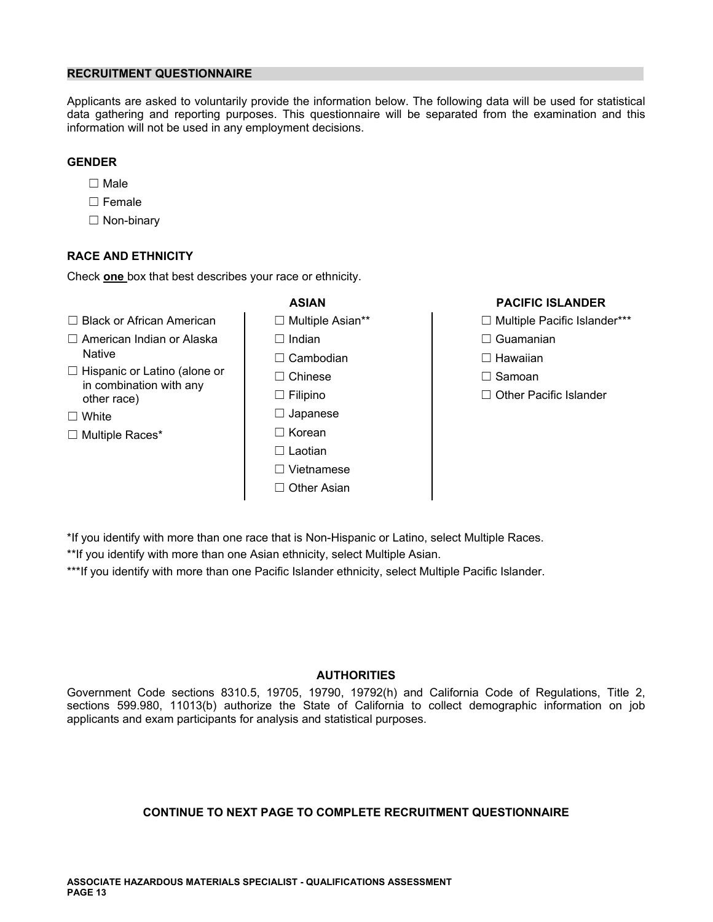# **RECRUITMENT QUESTIONNAIRE**

Applicants are asked to voluntarily provide the information below. The following data will be used for statistical data gathering and reporting purposes. This questionnaire will be separated from the examination and this information will not be used in any employment decisions.

# **GENDER**

- ☐ Male
- ☐ Female
- ☐ Non-binary

# **RACE AND ETHNICITY**

Check **one** box that best describes your race or ethnicity.

- ☐ Black or African American ☐ Multiple Asian\*\* ☐ Multiple Pacific Islander\*\*\*
- ☐ American Indian or Alaska ☐ Indian ☐ Guamanian Native ☐ Cambodian ☐ Hawaiian
- ☐ Hispanic or Latino (alone or ☐ Chinese ☐ Samoan in combination with any other race) ☐ Filipino ☐ Other Pacific Islander
- 
- ☐ Multiple Races\* ☐ Korean
- 
- 
- 
- 
- 
- ☐ White ☐ Japanese
	-
	- ☐ Laotian
	- ☐ Vietnamese
	- ☐ Other Asian

# **ASIAN PACIFIC ISLANDER**

- 
- 
- 
- 
- 

\*If you identify with more than one race that is Non-Hispanic or Latino, select Multiple Races.

\*\*If you identify with more than one Asian ethnicity, select Multiple Asian.

\*\*\*If you identify with more than one Pacific Islander ethnicity, select Multiple Pacific Islander.

# **AUTHORITIES**

Government Code sections 8310.5, 19705, 19790, 19792(h) and California Code of Regulations, Title 2, sections 599.980, 11013(b) authorize the State of California to collect demographic information on job applicants and exam participants for analysis and statistical purposes.

# **CONTINUE TO NEXT PAGE TO COMPLETE RECRUITMENT QUESTIONNAIRE**